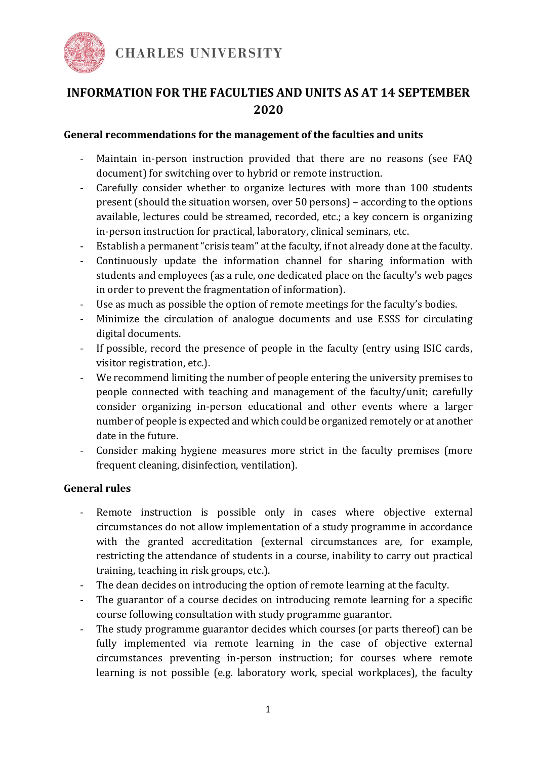

# **INFORMATION FOR THE FACULTIES AND UNITS AS AT 14 SEPTEMBER 2020**

#### **General recommendations for the management of the faculties and units**

- Maintain in-person instruction provided that there are no reasons (see FAO document) for switching over to hybrid or remote instruction.
- Carefully consider whether to organize lectures with more than 100 students present (should the situation worsen, over 50 persons) – according to the options available, lectures could be streamed, recorded, etc.; a key concern is organizing in-person instruction for practical, laboratory, clinical seminars, etc.
- Establish a permanent "crisis team" at the faculty, if not already done at the faculty.
- Continuously update the information channel for sharing information with students and employees (as a rule, one dedicated place on the faculty's web pages in order to prevent the fragmentation of information).
- Use as much as possible the option of remote meetings for the faculty's bodies.
- Minimize the circulation of analogue documents and use ESSS for circulating digital documents.
- If possible, record the presence of people in the faculty (entry using ISIC cards, visitor registration, etc.).
- We recommend limiting the number of people entering the university premises to people connected with teaching and management of the faculty/unit; carefully consider organizing in-person educational and other events where a larger number of people is expected and which could be organized remotely or at another date in the future.
- Consider making hygiene measures more strict in the faculty premises (more frequent cleaning, disinfection, ventilation).

### **General rules**

- Remote instruction is possible only in cases where objective external circumstances do not allow implementation of a study programme in accordance with the granted accreditation (external circumstances are, for example, restricting the attendance of students in a course, inability to carry out practical training, teaching in risk groups, etc.).
- The dean decides on introducing the option of remote learning at the faculty.
- The guarantor of a course decides on introducing remote learning for a specific course following consultation with study programme guarantor.
- The study programme guarantor decides which courses (or parts thereof) can be fully implemented via remote learning in the case of objective external circumstances preventing in-person instruction; for courses where remote learning is not possible (e.g. laboratory work, special workplaces), the faculty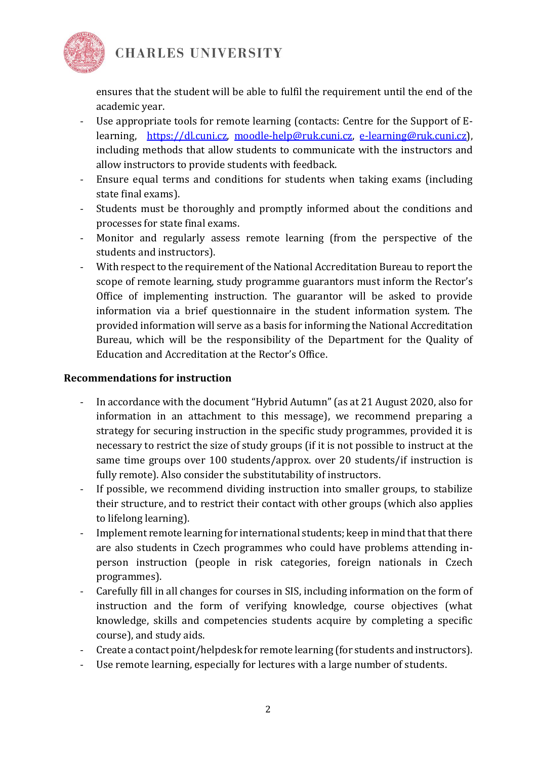

**CHARLES UNIVERSITY** 

ensures that the student will be able to fulfil the requirement until the end of the academic year.

- Use appropriate tools for remote learning (contacts: Centre for the Support of Elearning, [https://dl.cuni.cz,](about:blank) [moodle-help@ruk.cuni.cz,](about:blank) [e-learning@ruk.cuni.cz\)](about:blank), including methods that allow students to communicate with the instructors and allow instructors to provide students with feedback.
- Ensure equal terms and conditions for students when taking exams (including state final exams).
- Students must be thoroughly and promptly informed about the conditions and processes for state final exams.
- Monitor and regularly assess remote learning (from the perspective of the students and instructors).
- With respect to the requirement of the National Accreditation Bureau to report the scope of remote learning, study programme guarantors must inform the Rector's Office of implementing instruction. The guarantor will be asked to provide information via a brief questionnaire in the student information system. The provided information will serve as a basis for informing the National Accreditation Bureau, which will be the responsibility of the Department for the Quality of Education and Accreditation at the Rector's Office.

#### **Recommendations for instruction**

- In accordance with the document "Hybrid Autumn" (as at 21 August 2020, also for information in an attachment to this message), we recommend preparing a strategy for securing instruction in the specific study programmes, provided it is necessary to restrict the size of study groups (if it is not possible to instruct at the same time groups over 100 students/approx. over 20 students/if instruction is fully remote). Also consider the substitutability of instructors.
- If possible, we recommend dividing instruction into smaller groups, to stabilize their structure, and to restrict their contact with other groups (which also applies to lifelong learning).
- Implement remote learning for international students; keep in mind that that there are also students in Czech programmes who could have problems attending inperson instruction (people in risk categories, foreign nationals in Czech programmes).
- Carefully fill in all changes for courses in SIS, including information on the form of instruction and the form of verifying knowledge, course objectives (what knowledge, skills and competencies students acquire by completing a specific course), and study aids.
- Create a contact point/helpdesk for remote learning (for students and instructors).
- Use remote learning, especially for lectures with a large number of students.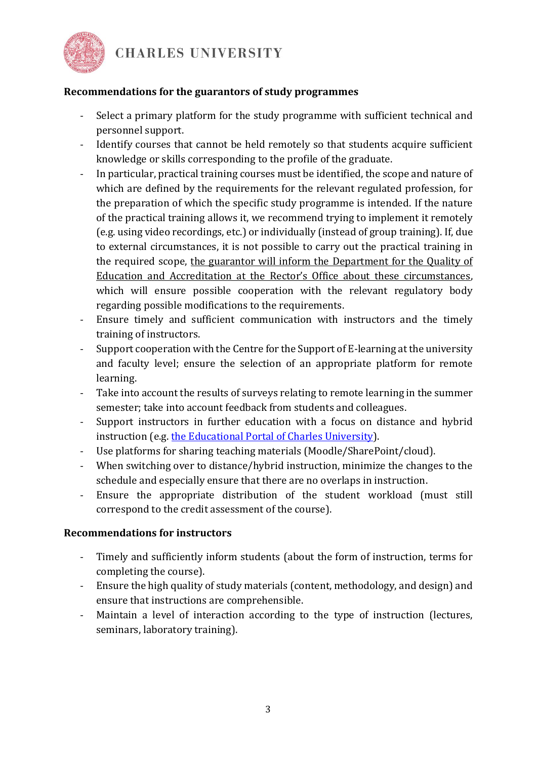

**CHARLES UNIVERSITY** 

### **Recommendations for the guarantors of study programmes**

- Select a primary platform for the study programme with sufficient technical and personnel support.
- Identify courses that cannot be held remotely so that students acquire sufficient knowledge or skills corresponding to the profile of the graduate.
- In particular, practical training courses must be identified, the scope and nature of which are defined by the requirements for the relevant regulated profession, for the preparation of which the specific study programme is intended. If the nature of the practical training allows it, we recommend trying to implement it remotely (e.g. using video recordings, etc.) or individually (instead of group training). If, due to external circumstances, it is not possible to carry out the practical training in the required scope, the guarantor will inform the Department for the Quality of Education and Accreditation at the Rector's Office about these circumstances, which will ensure possible cooperation with the relevant regulatory body regarding possible modifications to the requirements.
- Ensure timely and sufficient communication with instructors and the timely training of instructors.
- Support cooperation with the Centre for the Support of E-learning at the university and faculty level; ensure the selection of an appropriate platform for remote learning.
- Take into account the results of surveys relating to remote learning in the summer semester; take into account feedback from students and colleagues.
- Support instructors in further education with a focus on distance and hybrid instruction (e.g. [the Educational Portal of Charles University\)](about:blank).
- Use platforms for sharing teaching materials (Moodle/SharePoint/cloud).
- When switching over to distance/hybrid instruction, minimize the changes to the schedule and especially ensure that there are no overlaps in instruction.
- Ensure the appropriate distribution of the student workload (must still correspond to the credit assessment of the course).

### **Recommendations for instructors**

- Timely and sufficiently inform students (about the form of instruction, terms for completing the course).
- Ensure the high quality of study materials (content, methodology, and design) and ensure that instructions are comprehensible.
- Maintain a level of interaction according to the type of instruction (lectures, seminars, laboratory training).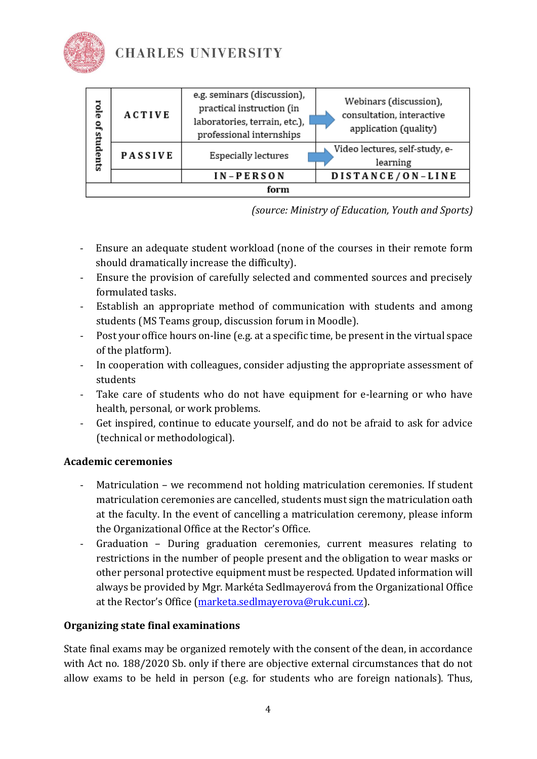

| role<br>õÍ<br>students | <b>ACTIVE</b>  | e.g. seminars (discussion),<br>practical instruction (in<br>laboratories, terrain, etc.),<br>professional internships | Webinars (discussion),<br>consultation, interactive<br>application (quality) |
|------------------------|----------------|-----------------------------------------------------------------------------------------------------------------------|------------------------------------------------------------------------------|
|                        | <b>PASSIVE</b> | Especially lectures                                                                                                   | Video lectures, self-study, e-<br>learning                                   |
|                        |                | IN-PERSON                                                                                                             | DISTANCE/ON-LINE                                                             |
| form                   |                |                                                                                                                       |                                                                              |

*(source: Ministry of Education, Youth and Sports)*

- Ensure an adequate student workload (none of the courses in their remote form should dramatically increase the difficulty).
- Ensure the provision of carefully selected and commented sources and precisely formulated tasks.
- Establish an appropriate method of communication with students and among students (MS Teams group, discussion forum in Moodle).
- Post your office hours on-line (e.g. at a specific time, be present in the virtual space of the platform).
- In cooperation with colleagues, consider adjusting the appropriate assessment of students
- Take care of students who do not have equipment for e-learning or who have health, personal, or work problems.
- Get inspired, continue to educate yourself, and do not be afraid to ask for advice (technical or methodological).

## **Academic ceremonies**

- Matriculation we recommend not holding matriculation ceremonies. If student matriculation ceremonies are cancelled, students must sign the matriculation oath at the faculty. In the event of cancelling a matriculation ceremony, please inform the Organizational Office at the Rector's Office.
- Graduation During graduation ceremonies, current measures relating to restrictions in the number of people present and the obligation to wear masks or other personal protective equipment must be respected. Updated information will always be provided by Mgr. Markéta Sedlmayerová from the Organizational Office at the Rector's Office [\(marketa.sedlmayerova@ruk.cuni.cz\)](about:blank).

## **Organizing state final examinations**

State final exams may be organized remotely with the consent of the dean, in accordance with Act no. 188/2020 Sb. only if there are objective external circumstances that do not allow exams to be held in person (e.g. for students who are foreign nationals). Thus,